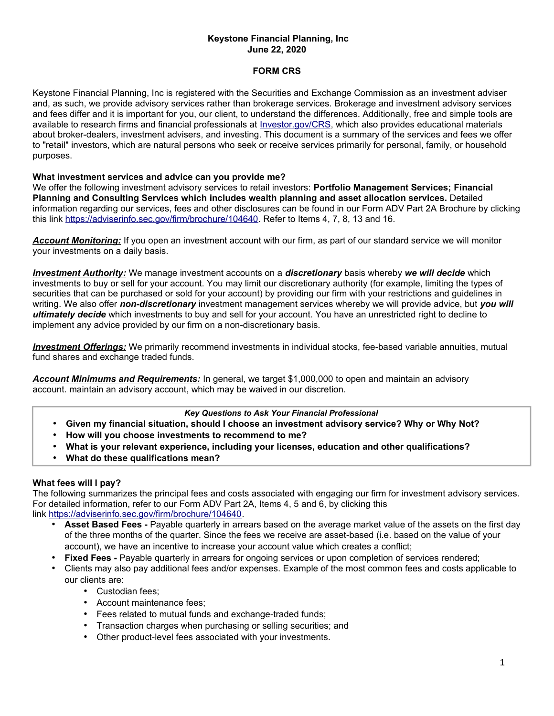# **Keystone Financial Planning, Inc June 22, 2020**

### **FORM CRS**

Keystone Financial Planning, Inc is registered with the Securities and Exchange Commission as an investment adviser and, as such, we provide advisory services rather than brokerage services. Brokerage and investment advisory services and fees differ and it is important for you, our client, to understand the differences. Additionally, free and simple tools are available to research firms and financial professionals at *Investor.gov/CRS*, which also provides educational materials about broker-dealers, investment advisers, and investing. This document is a summary of the services and fees we offer to "retail" investors, which are natural persons who seek or receive services primarily for personal, family, or household purposes.

#### **What investment services and advice can you provide me?**

We offer the following investment advisory services to retail investors: **Portfolio Management Services; Financial Planning and Consulting Services which includes wealth planning and asset allocation services.** Detailed information regarding our services, fees and other disclosures can be found in our Form ADV Part 2A Brochure by clicking this link [https://adviserinfo.sec.gov/firm/brochure/104640.](https://adviserinfo.sec.gov/firm/brochure/104640) Refer to Items 4, 7, 8, 13 and 16.

*Account Monitoring:* If you open an investment account with our firm, as part of our standard service we will monitor your investments on a daily basis.

 *Investment Authority :* We manage investment accounts on a *discretionary* basis whereby *we will decide* which investments to buy or sell for your account. You may limit our discretionary authority (for example, limiting the types of securities that can be purchased or sold for your account) by providing our firm with your restrictions and guidelines in writing. We also offer *non-discretionary* investment management services whereby we will provide advice, but *you will ultimately decide* which investments to buy and sell for your account. You have an unrestricted right to decline to implement any advice provided by our firm on a non-discretionary basis.

 *Investment Offerings:* We primarily recommend investments in individual stocks, fee-based variable annuities, mutual fund shares and exchange traded funds.

*Account Minimums and Requirements:* In general, we target \$1,000,000 to open and maintain an advisory account. maintain an advisory account, which may be waived in our discretion.

#### *Key Questions to Ask Your Financial Professional*

- **Given my financial situation, should I choose an investment advisory service? Why or Why Not?**
- **How will you choose investments to recommend to me?**
- **What is your relevant experience, including your licenses, education and other qualifications?**
- **What do these qualifications mean?**

# **What fees will I pay?**

The following summarizes the principal fees and costs associated with engaging our firm for investment advisory services. For detailed information, refer to our Form ADV Part 2A, Items 4, 5 and 6, by clicking this link [https://adviserinfo.sec.gov/firm/brochure/104640.](https://adviserinfo.sec.gov/firm/brochure/104640)

- **Asset Based Fees -** Payable quarterly in arrears based on the average market value of the assets on the first day of the three months of the quarter. Since the fees we receive are asset-based (i.e. based on the value of your account), we have an incentive to increase your account value which creates a conflict;
- **Fixed Fees -** Payable quarterly in arrears for ongoing services or upon completion of services rendered;
- Clients may also pay additional fees and/or expenses. Example of the most common fees and costs applicable to our clients are:
	- Custodian fees;
	- Account maintenance fees;
	- Fees related to mutual funds and exchange-traded funds;
	- Transaction charges when purchasing or selling securities; and
	- Other product-level fees associated with your investments.